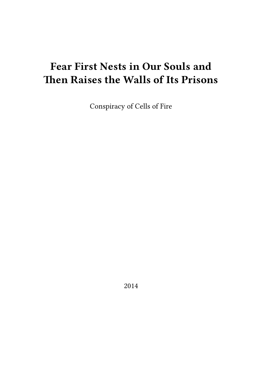# **Fear First Nests in Our Souls and Then Raises the Walls of Its Prisons**

Conspiracy of Cells of Fire

2014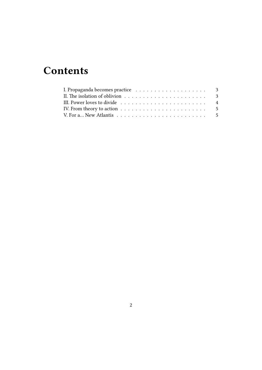# **Contents**

| II. The isolation of oblivion $\dots \dots \dots \dots \dots \dots \dots \dots \dots$                           |  |
|-----------------------------------------------------------------------------------------------------------------|--|
|                                                                                                                 |  |
| IV. From theory to action $\dots \dots \dots \dots \dots \dots \dots \dots \dots \dots \dots \dots \dots \dots$ |  |
|                                                                                                                 |  |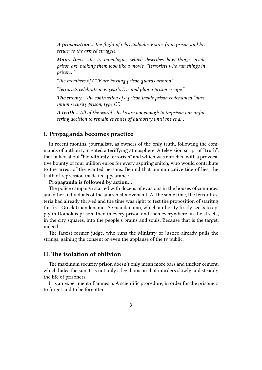*A provocation… The flight of Christodoulos Ksiros from prison and his return to the armed struggle.*

*Many lies… The tv monologue, which describes how things inside prison are, making them look like a movie. "Terrorists who run things in prison…"*

*"The members of CCF are bossing prison guards around"*

*"Terrorists celebrate new year's Eve and plan a prison escape."*

*The enemy… The contruction of a prison inside prison codenamed "maximum security prison, type C".*

*A truth… All of the world's locks are not enough to imprison our unfaltering decision to remain enemies of authority until the end…*

#### <span id="page-2-0"></span>**I. Propaganda becomes practice**

In recent months, journalists, as owners of the only truth, following the commands of authority, created a teriffying atmosphere. A television script of "truth", that talked about "bloodthirsty terrorists" and which was enriched with a provocative bounty of four million euros for every aspiring snitch, who would contribute to the arrest of the wanted persons. Behind that ommunicative tide of lies, the truth of repression made its appearance.

**Propaganda is followed by action…**

The police campaign started with dozens of evasions in the houses of comrades and other individuals of the anarchist movement. At the same time, the terror hysteria had already thrived and the time was right to test the proposition of staritng thr first Greek Guandanamo. A Guandanamo, which authority firstly seeks to apply in Domokos prison, then in every prison and then everywhere, in the streets, in the city squares, into the people's brains and souls. Because that is the target, indeed.

The fascist former judge, who runs the Ministry of Justice already pulls the strings, gaining the consent or even the applause of the tv public.

#### <span id="page-2-1"></span>**II. The isolation of oblivion**

The maximum security prison doesn't only mean more bars and thicker cement, which hides the sun. It is not only a legal poison that murders slowly and steadily the life of prisoners.

It is an experiment of amnesia. A scientific procedure, in order for the prisoners to forget and to be forgotten.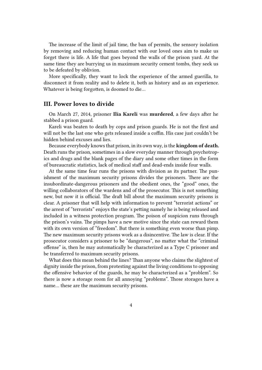The increase of the limit of jail time, the ban of permits, the sensory isolation by removing and reducing human contact with our loved ones aim to make us forget there is life. A life that goes beyond the walls of the prison yard. At the same time they are burrying us in maximum security cement tombs, they seek us to be defeated by oblivion.

More specifically, they want to lock the experience of the armed guerilla, to disconnect it from reality and to delete it, both as history and as an experience. Whatever is being forgotten, is doomed to die…

#### **III. Power loves to divide**

On March 27, 2014, prisoner **Ilia Kareli** was **murdered**, a few days after he stabbed a prison guard.

Kareli was beaten to death by cops and prison guards. He is not the first and will not be the last one who gets released inside a coffin. His case just couldn't be hidden behind excuses and lies.

Because everybody knows that prison, in its own way, is the **kingdom of death.** Death runs the prison, sometimes in a slow everyday manner through psychotropics and drugs and the blank pages of the diary and some other times in the form of bureaucratic statistics, lack of medical staff and dead-ends inside four walls.

At the same time fear runs the prisons with division as its partner. The punishment of the maximum security prisons divides the prisoners. There are the insubordinate-dangerous prisoners and the obedient ones, the "good" ones, the willing collaborators of the wardens and of the prosecutor. This is not something new, but now it is official. The draft bill about the maximum security prisons is clear. A prisoner that will help with information to prevent "terrorist actions" or the arrest of "terrorists" enjoys the state's petting namely he is being released and included in a witness protection program. The poison of suspicion runs through the prison's vains. The pimps have a new motive since the state can reward them with its own version of "freedom". But there is something even worse than pimp. The new maximum security prisons work as a disincentive. The law is clear. If the prosecutor considers a prisoner to be "dangerous", no matter what the "criminal offense" is, then he may automatically be characterized as a Type C prisoner and be transferred to maximum security prisons.

What does this mean behind the lines? Than anyone who claims the slightest of dignity inside the prison, from protesting against the living conditions to opposing the offensive behavior of the guards, he may be characterized as a "problem". So there is now a storage room for all annoying "problems". Those storages have a name… these are the maximum security prisons.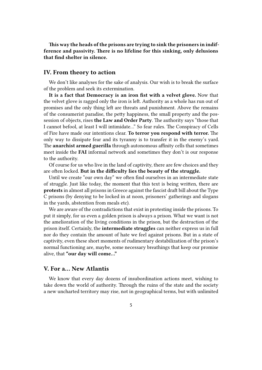**This way the heads of the prisons are trying to sink the prisoners in indifference and passivity. There is no lifeline for this sinking, only delusions that find shelter in silence.**

#### **IV. From theory to action**

We don't like analyses for the sake of analysis. Our wish is to break the surface of the problem and seek its extermination.

**It is a fact that Democracy is an iron fist with a velvet glove.** Now that the velvet glove is ragged only the iron is left. Authority as a whole has run out of promises and the only thing left are threats and punishment. Above the remains of the consumerist paradise, the petty happiness, the small property and the possession of objects, rises **the Law and Order Party**. The authority says "those that I cannot befool, at least I will intimidate…" So fear rules. The Conspiracy of Cells of Fire have made our intentions clear. **To terror you respond with terror.** The only way to dissipate fear and its tyranny is to transfer it in the enemy's yard. The **anarchist armed guerilla** through autonomous affinity cells that sometimes meet inside the **FAI** informal network and sometimes they don't is our response to the authority.

Of course for us who live in the land of captivity, there are few choices and they are often locked. **But in the difficulty lies the beauty of the struggle.**

Until we create "our own day" we often find ourselves in an intermediate state of struggle. Just like today, the moment that this text is being written, there are **protests** in almost all prisons in Greece against the fascist draft bill about the Type C prisons (by denying to be locked in at noon, prisoners' gatherings and slogans in the yards, abstention from meals etc).

We are aware of the contradictions that exist in protesting inside the prisons. To put it simply, for us even a golden prison is always a prison. What we want is not the amelioration of the living conditions in the prison, but the destruction of the prison itself. Certainly, the **intermediate struggles** can neither express us in full nor do they contain the amount of hate we feel against prisons. But in a state of captivity, even these short moments of rudimentary destabilization of the prison's normal functioning are, maybe, some necessary breathings that keep our promise alive, that **"our day will come…"**

## **V. For a… New Atlantis**

We know that every day dozens of insubordination actions meet, wishing to take down the world of authority. Through the ruins of the state and the society a new uncharted territory may rise, not in geographical terms, but with unlimited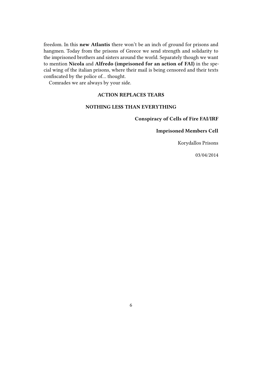freedom. In this **new Atlantis** there won't be an inch of ground for prisons and hangmen. Today from the prisons of Greece we send strength and solidarity to the imprisoned brothers and sisters around the world. Separately though we want to mention **Nicola** and **Alfredo (imprisoned for an action of FAI)** in the special wing of the italian prisons, where their mail is being censored and their texts confiscated by the police of… thought.

Comrades we are always by your side.

## **ACTION REPLACES TEARS**

#### **NOTHING LESS THAN EVERYTHING**

**Conspiracy of Cells of Fire FAI/IRF**

#### **Imprisoned Members Cell**

Korydallos Prisons

03/04/2014